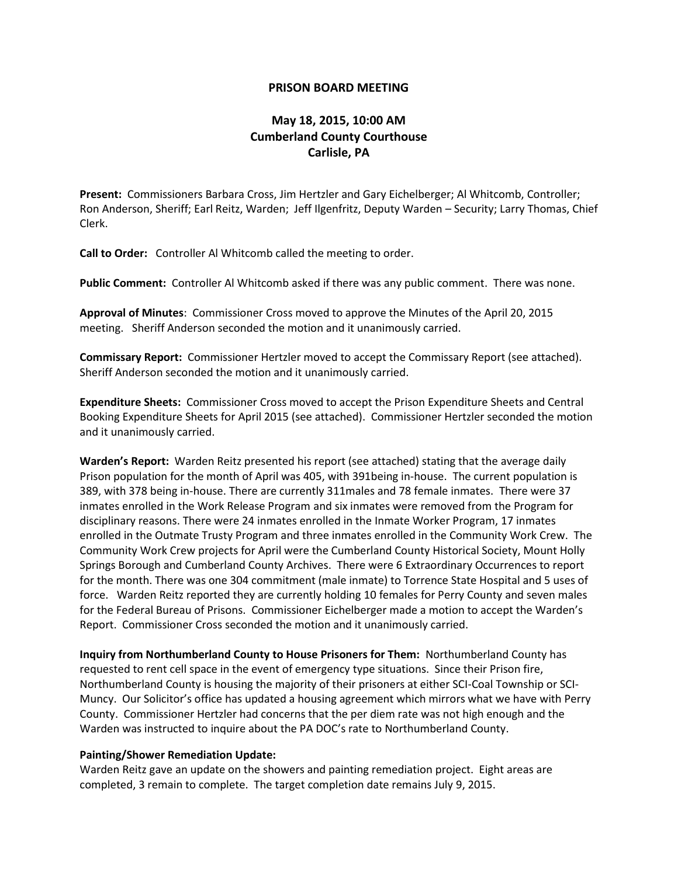## **PRISON BOARD MEETING**

## **May 18, 2015, 10:00 AM Cumberland County Courthouse Carlisle, PA**

**Present:** Commissioners Barbara Cross, Jim Hertzler and Gary Eichelberger; Al Whitcomb, Controller; Ron Anderson, Sheriff; Earl Reitz, Warden; Jeff Ilgenfritz, Deputy Warden – Security; Larry Thomas, Chief Clerk.

**Call to Order:** Controller Al Whitcomb called the meeting to order.

**Public Comment:** Controller Al Whitcomb asked if there was any public comment. There was none.

**Approval of Minutes**: Commissioner Cross moved to approve the Minutes of the April 20, 2015 meeting. Sheriff Anderson seconded the motion and it unanimously carried.

**Commissary Report:** Commissioner Hertzler moved to accept the Commissary Report (see attached). Sheriff Anderson seconded the motion and it unanimously carried.

**Expenditure Sheets:** Commissioner Cross moved to accept the Prison Expenditure Sheets and Central Booking Expenditure Sheets for April 2015 (see attached). Commissioner Hertzler seconded the motion and it unanimously carried.

**Warden's Report:** Warden Reitz presented his report (see attached) stating that the average daily Prison population for the month of April was 405, with 391being in-house. The current population is 389, with 378 being in-house. There are currently 311males and 78 female inmates. There were 37 inmates enrolled in the Work Release Program and six inmates were removed from the Program for disciplinary reasons. There were 24 inmates enrolled in the Inmate Worker Program, 17 inmates enrolled in the Outmate Trusty Program and three inmates enrolled in the Community Work Crew. The Community Work Crew projects for April were the Cumberland County Historical Society, Mount Holly Springs Borough and Cumberland County Archives. There were 6 Extraordinary Occurrences to report for the month. There was one 304 commitment (male inmate) to Torrence State Hospital and 5 uses of force. Warden Reitz reported they are currently holding 10 females for Perry County and seven males for the Federal Bureau of Prisons. Commissioner Eichelberger made a motion to accept the Warden's Report. Commissioner Cross seconded the motion and it unanimously carried.

**Inquiry from Northumberland County to House Prisoners for Them:** Northumberland County has requested to rent cell space in the event of emergency type situations. Since their Prison fire, Northumberland County is housing the majority of their prisoners at either SCI-Coal Township or SCI-Muncy. Our Solicitor's office has updated a housing agreement which mirrors what we have with Perry County. Commissioner Hertzler had concerns that the per diem rate was not high enough and the Warden was instructed to inquire about the PA DOC's rate to Northumberland County.

## **Painting/Shower Remediation Update:**

Warden Reitz gave an update on the showers and painting remediation project. Eight areas are completed, 3 remain to complete. The target completion date remains July 9, 2015.